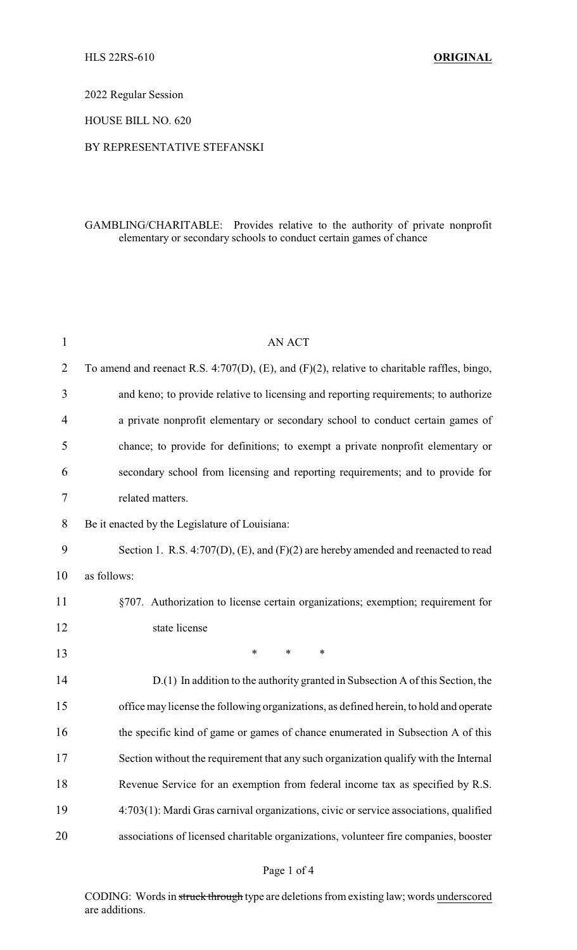2022 Regular Session

HOUSE BILL NO. 620

#### BY REPRESENTATIVE STEFANSKI

## GAMBLING/CHARITABLE: Provides relative to the authority of private nonprofit elementary or secondary schools to conduct certain games of chance

| $\mathbf{1}$ | <b>AN ACT</b>                                                                               |
|--------------|---------------------------------------------------------------------------------------------|
| 2            | To amend and reenact R.S. 4:707(D), (E), and (F)(2), relative to charitable raffles, bingo, |
| 3            | and keno; to provide relative to licensing and reporting requirements; to authorize         |
| 4            | a private nonprofit elementary or secondary school to conduct certain games of              |
| 5            | chance; to provide for definitions; to exempt a private nonprofit elementary or             |
| 6            | secondary school from licensing and reporting requirements; and to provide for              |
| 7            | related matters.                                                                            |
| 8            | Be it enacted by the Legislature of Louisiana:                                              |
| 9            | Section 1. R.S. 4:707(D), (E), and (F)(2) are hereby amended and reenacted to read          |
| 10           | as follows:                                                                                 |
| 11           | §707. Authorization to license certain organizations; exemption; requirement for            |
| 12           | state license                                                                               |
| 13           | $\ast$<br>$\ast$<br>*                                                                       |
| 14           | D.(1) In addition to the authority granted in Subsection A of this Section, the             |
| 15           | office may license the following organizations, as defined herein, to hold and operate      |
| 16           | the specific kind of game or games of chance enumerated in Subsection A of this             |
| 17           | Section without the requirement that any such organization qualify with the Internal        |
| 18           | Revenue Service for an exemption from federal income tax as specified by R.S.               |
| 19           | 4:703(1): Mardi Gras carnival organizations, civic or service associations, qualified       |
| 20           | associations of licensed charitable organizations, volunteer fire companies, booster        |
|              |                                                                                             |

#### Page 1 of 4

CODING: Words in struck through type are deletions from existing law; words underscored are additions.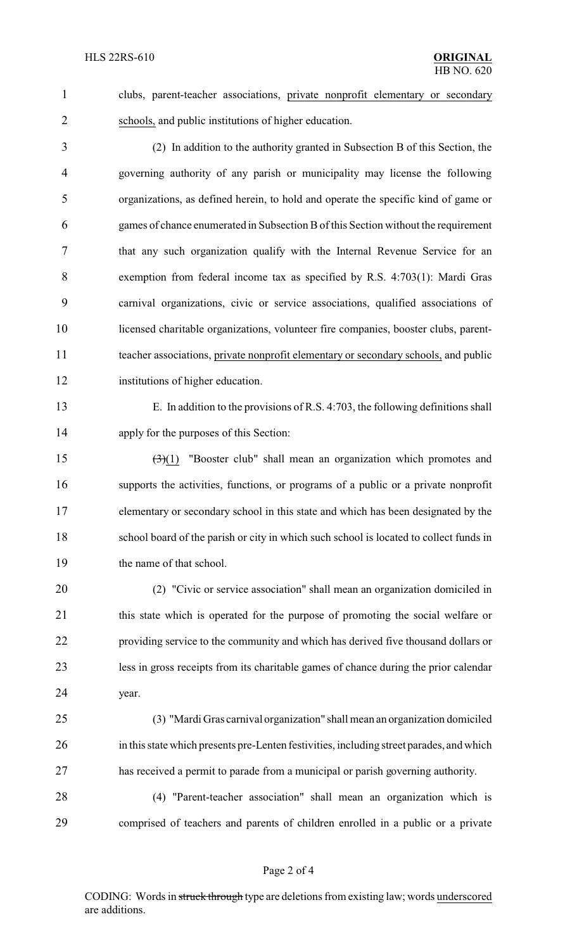clubs, parent-teacher associations, private nonprofit elementary or secondary schools, and public institutions of higher education.

 (2) In addition to the authority granted in Subsection B of this Section, the governing authority of any parish or municipality may license the following organizations, as defined herein, to hold and operate the specific kind of game or games of chance enumerated in Subsection Bof this Section without the requirement that any such organization qualify with the Internal Revenue Service for an exemption from federal income tax as specified by R.S. 4:703(1): Mardi Gras carnival organizations, civic or service associations, qualified associations of licensed charitable organizations, volunteer fire companies, booster clubs, parent- teacher associations, private nonprofit elementary or secondary schools, and public institutions of higher education.

 E. In addition to the provisions of R.S. 4:703, the following definitions shall apply for the purposes of this Section:

 $\left(\frac{3}{1}\right)$  "Booster club" shall mean an organization which promotes and supports the activities, functions, or programs of a public or a private nonprofit elementary or secondary school in this state and which has been designated by the school board of the parish or city in which such school is located to collect funds in 19 the name of that school.

 (2) "Civic or service association" shall mean an organization domiciled in 21 this state which is operated for the purpose of promoting the social welfare or providing service to the community and which has derived five thousand dollars or less in gross receipts from its charitable games of chance during the prior calendar year.

 (3) "Mardi Gras carnival organization" shall mean an organization domiciled in this state which presents pre-Lenten festivities, including street parades, and which has received a permit to parade from a municipal or parish governing authority.

 (4) "Parent-teacher association" shall mean an organization which is comprised of teachers and parents of children enrolled in a public or a private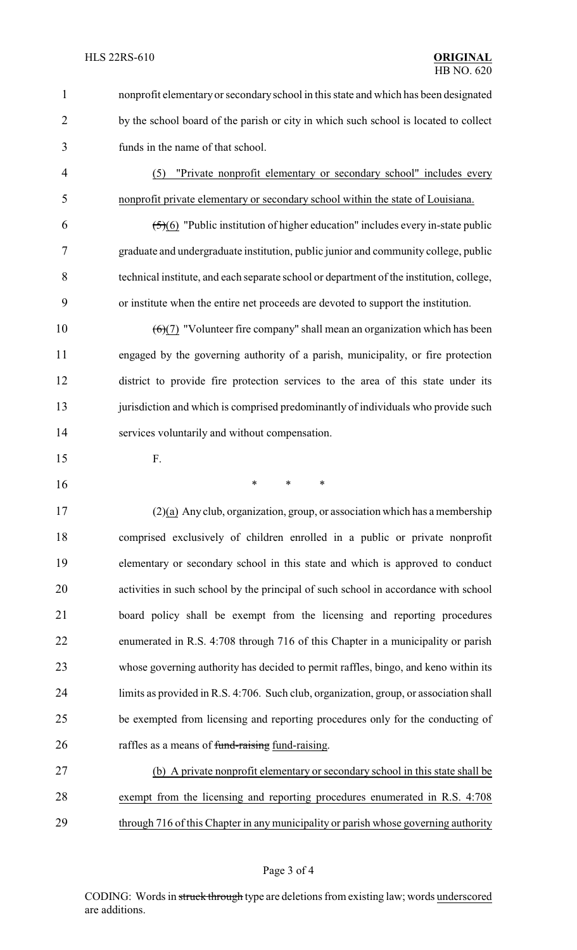- nonprofit elementary or secondaryschool in this state and which has been designated 2 by the school board of the parish or city in which such school is located to collect funds in the name of that school. (5) "Private nonprofit elementary or secondary school" includes every nonprofit private elementary or secondary school within the state of Louisiana. 6  $(5)(6)$  "Public institution of higher education" includes every in-state public graduate and undergraduate institution, public junior and community college, public technical institute, and each separate school or department of the institution, college,
- or institute when the entire net proceeds are devoted to support the institution. 10  $(6)(7)$  "Volunteer fire company" shall mean an organization which has been

 engaged by the governing authority of a parish, municipality, or fire protection district to provide fire protection services to the area of this state under its 13 jurisdiction and which is comprised predominantly of individuals who provide such services voluntarily and without compensation.

- F.
- \* \* \*

 (2)(a) Any club, organization, group, or association which has a membership comprised exclusively of children enrolled in a public or private nonprofit elementary or secondary school in this state and which is approved to conduct activities in such school by the principal of such school in accordance with school board policy shall be exempt from the licensing and reporting procedures enumerated in R.S. 4:708 through 716 of this Chapter in a municipality or parish whose governing authority has decided to permit raffles, bingo, and keno within its limits as provided in R.S. 4:706. Such club, organization, group, or association shall be exempted from licensing and reporting procedures only for the conducting of 26 raffles as a means of fund-raising fund-raising.

 (b) A private nonprofit elementary or secondary school in this state shall be exempt from the licensing and reporting procedures enumerated in R.S. 4:708 through 716 of this Chapter in any municipality or parish whose governing authority

CODING: Words in struck through type are deletions from existing law; words underscored are additions.